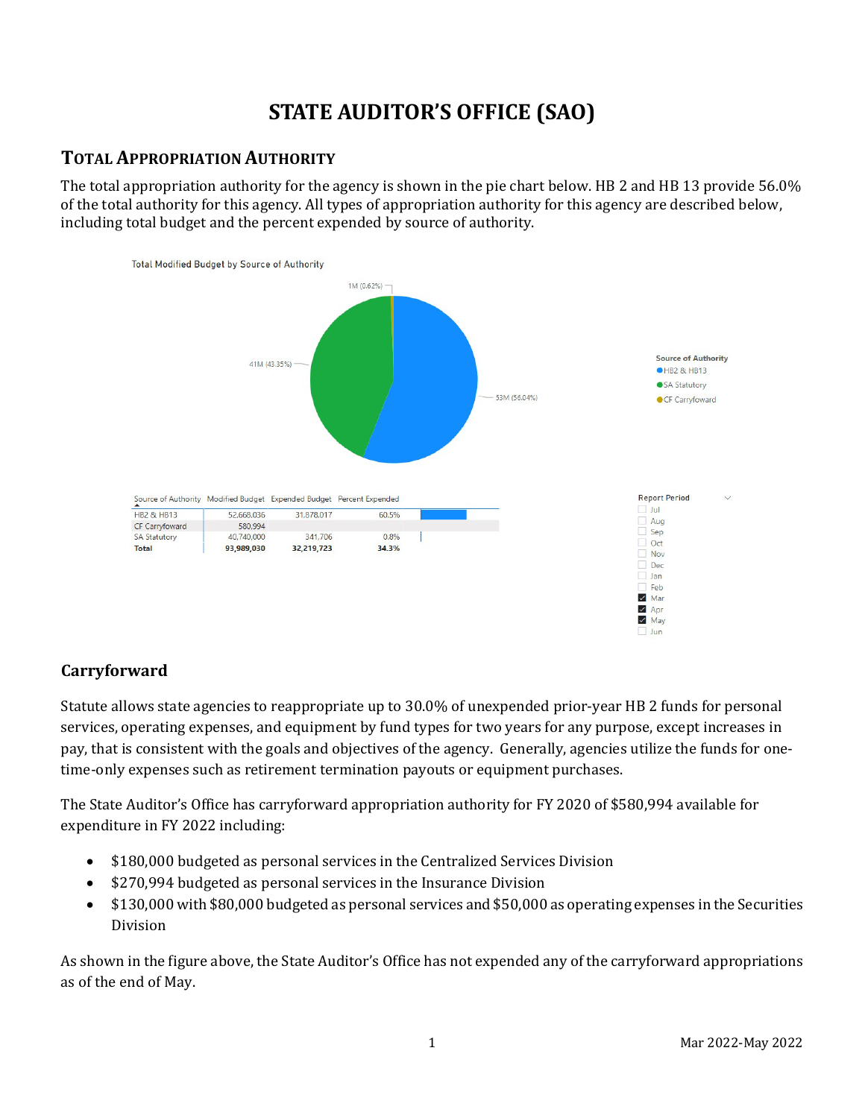# **STATE AUDITOR'S OFFICE (SAO)**

# **TOTAL APPROPRIATION AUTHORITY**

The total appropriation authority for the agency is shown in the pie chart below. HB 2 and HB 13 provide 56.0% of the total authority for this agency. All types of appropriation authority for this agency are described below, including total budget and the percent expended by source of authority.



# **Carryforward**

Statute allows state agencies to reappropriate up to 30.0% of unexpended prior-year HB 2 funds for personal services, operating expenses, and equipment by fund types for two years for any purpose, except increases in pay, that is consistent with the goals and objectives of the agency. Generally, agencies utilize the funds for onetime-only expenses such as retirement termination payouts or equipment purchases.

The State Auditor's Office has carryforward appropriation authority for FY 2020 of \$580,994 available for expenditure in FY 2022 including:

- \$180,000 budgeted as personal services in the Centralized Services Division
- \$270,994 budgeted as personal services in the Insurance Division
- \$130,000 with \$80,000 budgeted as personal services and \$50,000 as operating expenses in the Securities Division

As shown in the figure above, the State Auditor's Office has not expended any of the carryforward appropriations as of the end of May.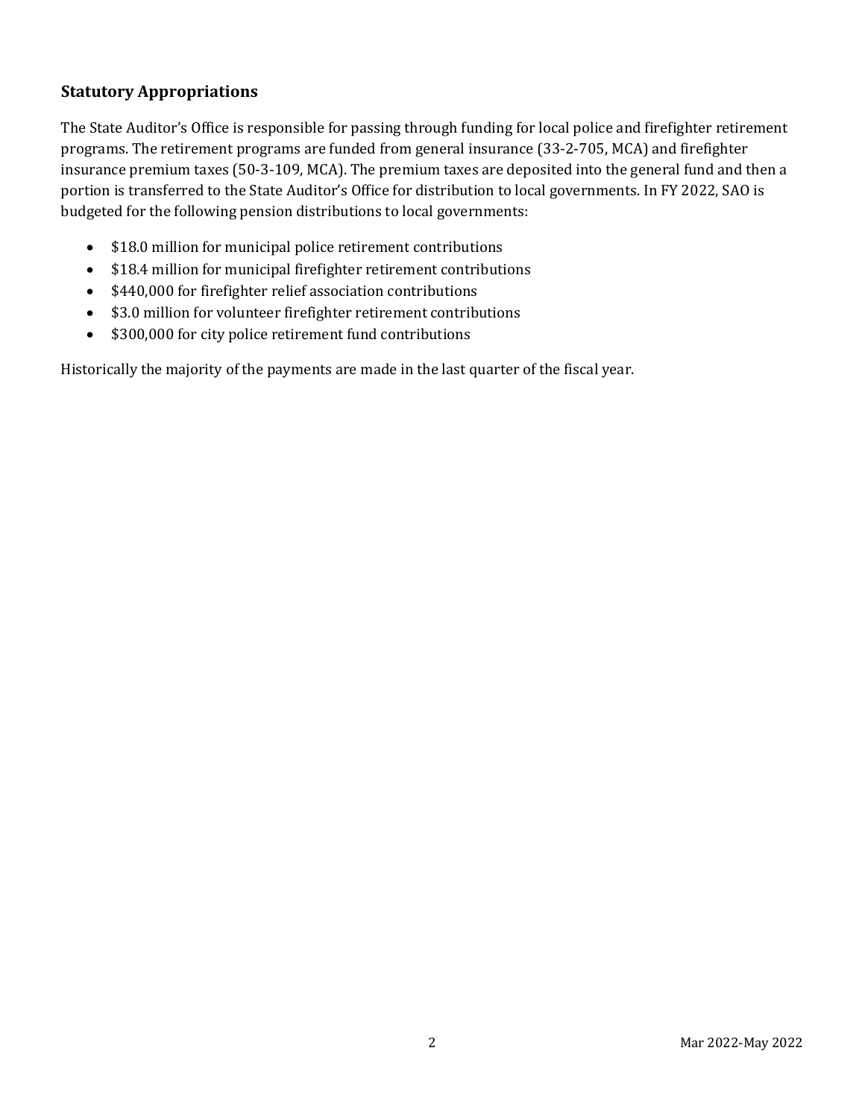### **Statutory Appropriations**

The State Auditor's Office is responsible for passing through funding for local police and firefighter retirement programs. The retirement programs are funded from general insurance (33-2-705, MCA) and firefighter insurance premium taxes (50-3-109, MCA). The premium taxes are deposited into the general fund and then a portion is transferred to the State Auditor's Office for distribution to local governments. In FY 2022, SAO is budgeted for the following pension distributions to local governments:

- \$18.0 million for municipal police retirement contributions
- \$18.4 million for municipal firefighter retirement contributions
- \$440,000 for firefighter relief association contributions
- \$3.0 million for volunteer firefighter retirement contributions
- \$300,000 for city police retirement fund contributions

Historically the majority of the payments are made in the last quarter of the fiscal year.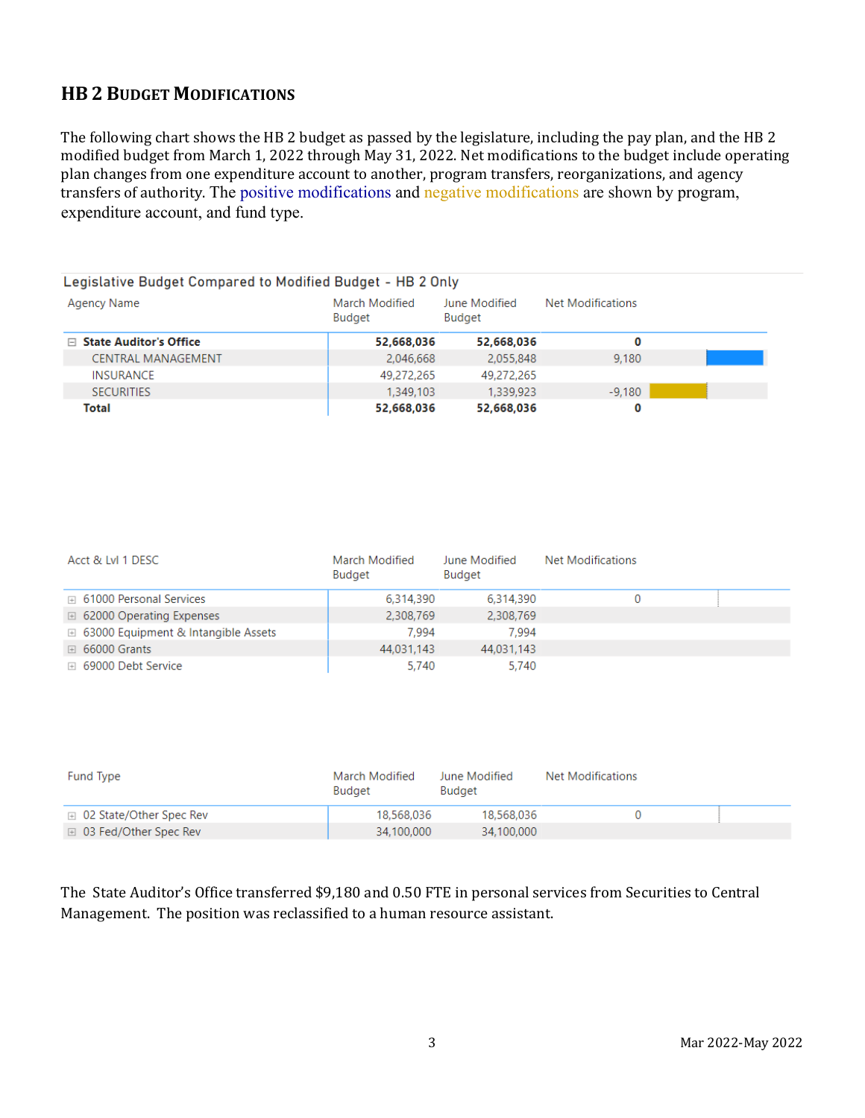# **HB 2 BUDGET MODIFICATIONS**

The following chart shows the HB 2 budget as passed by the legislature, including the pay plan, and the HB 2 modified budget from March 1, 2022 through May 31, 2022. Net modifications to the budget include operating plan changes from one expenditure account to another, program transfers, reorganizations, and agency transfers of authority. The positive modifications and negative modifications are shown by program, expenditure account, and fund type.

| Legislative Budget Compared to Modified Budget - HB 2 Only |                                 |                         |                   |  |
|------------------------------------------------------------|---------------------------------|-------------------------|-------------------|--|
| Agency Name                                                | March Modified<br><b>Budget</b> | June Modified<br>Budget | Net Modifications |  |
| <b>State Auditor's Office</b><br>F.                        | 52,668,036                      | 52,668,036              | 0                 |  |
| <b>CENTRAL MANAGEMENT</b>                                  | 2,046,668                       | 2,055,848               | 9.180             |  |
| <b>INSURANCE</b>                                           | 49,272,265                      | 49,272,265              |                   |  |
| <b>SECURITIES</b>                                          | 1,349,103                       | 1,339,923               | $-9.180$          |  |
| Total                                                      | 52,668,036                      | 52,668,036              | 0                 |  |

| Acct & Lvl 1 DESC                              | March Modified<br>Budget | June Modified<br>Budget | <b>Net Modifications</b> |  |
|------------------------------------------------|--------------------------|-------------------------|--------------------------|--|
| <b>E</b> 61000 Personal Services               | 6.314.390                | 6,314,390               |                          |  |
| $\boxplus$ 62000 Operating Expenses            | 2,308,769                | 2,308,769               |                          |  |
| $\boxplus$ 63000 Equipment & Intangible Assets | 7.994                    | 7.994                   |                          |  |
| $\boxplus$ 66000 Grants                        | 44.031.143               | 44,031,143              |                          |  |
| ⊞ 69000 Debt Service                           | 5,740                    | 5,740                   |                          |  |

| Fund Type                          | March Modified<br>Budget | June Modified<br>Budget | Net Modifications |  |
|------------------------------------|--------------------------|-------------------------|-------------------|--|
| $\boxplus$ 02 State/Other Spec Rev | 18.568.036               | 18,568,036              |                   |  |
| □ 03 Fed/Other Spec Rev            | 34,100,000               | 34,100,000              |                   |  |

The State Auditor's Office transferred \$9,180 and 0.50 FTE in personal services from Securities to Central Management. The position was reclassified to a human resource assistant.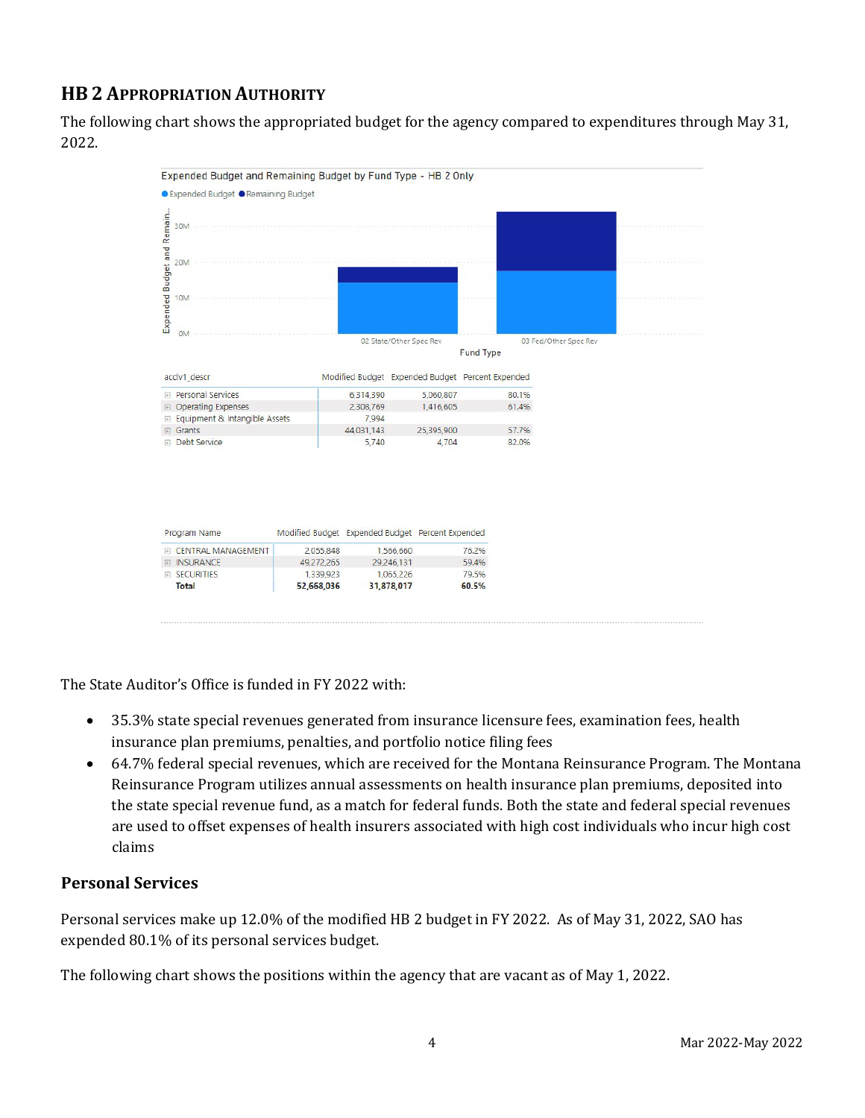# **HB 2 APPROPRIATION AUTHORITY**

The following chart shows the appropriated budget for the agency compared to expenditures through May 31, 2022.



The State Auditor's Office is funded in FY 2022 with:

- 35.3% state special revenues generated from insurance licensure fees, examination fees, health insurance plan premiums, penalties, and portfolio notice filing fees
- 64.7% federal special revenues, which are received for the Montana Reinsurance Program. The Montana Reinsurance Program utilizes annual assessments on health insurance plan premiums, deposited into the state special revenue fund, as a match for federal funds. Both the state and federal special revenues are used to offset expenses of health insurers associated with high cost individuals who incur high cost claims

#### **Personal Services**

Personal services make up 12.0% of the modified HB 2 budget in FY 2022. As of May 31, 2022, SAO has expended 80.1% of its personal services budget.

The following chart shows the positions within the agency that are vacant as of May 1, 2022.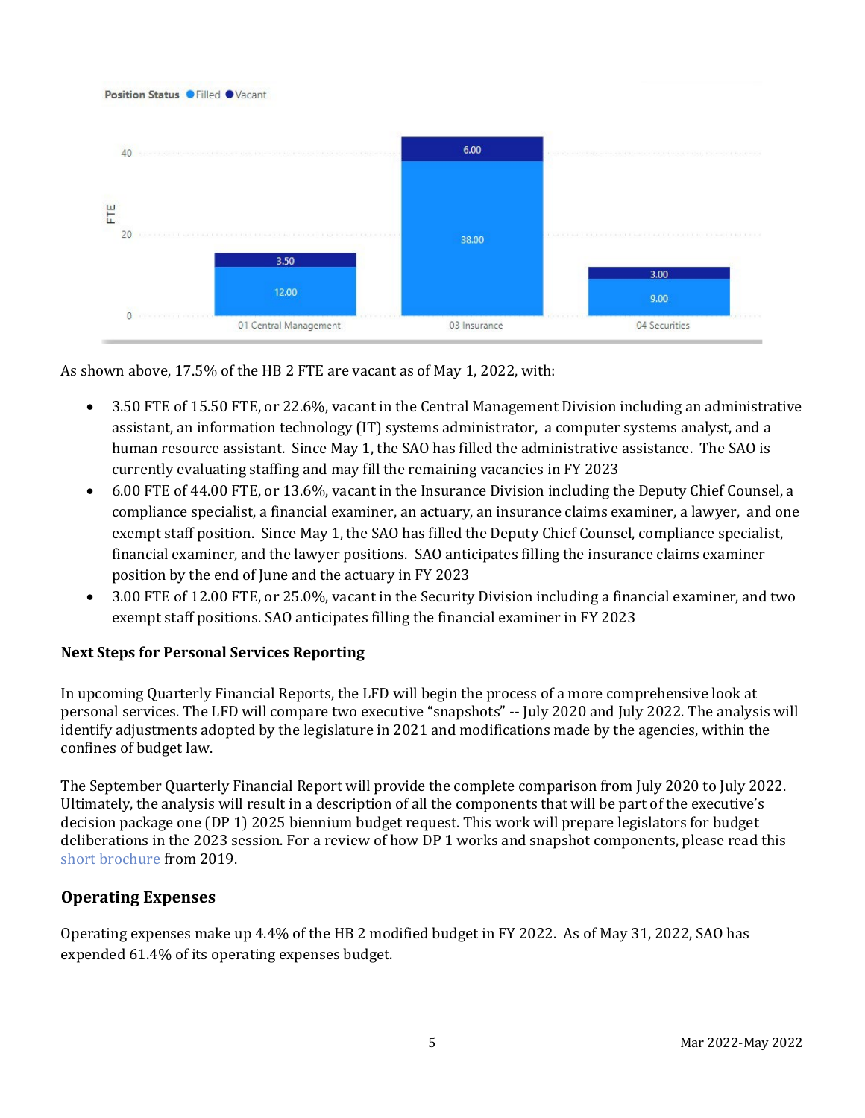

As shown above, 17.5% of the HB 2 FTE are vacant as of May 1, 2022, with:

- 3.50 FTE of 15.50 FTE, or 22.6%, vacant in the Central Management Division including an administrative assistant, an information technology (IT) systems administrator, a computer systems analyst, and a human resource assistant. Since May 1, the SAO has filled the administrative assistance. The SAO is currently evaluating staffing and may fill the remaining vacancies in FY 2023
- 6.00 FTE of 44.00 FTE, or 13.6%, vacant in the Insurance Division including the Deputy Chief Counsel, a compliance specialist, a financial examiner, an actuary, an insurance claims examiner, a lawyer, and one exempt staff position. Since May 1, the SAO has filled the Deputy Chief Counsel, compliance specialist, financial examiner, and the lawyer positions. SAO anticipates filling the insurance claims examiner position by the end of June and the actuary in FY 2023
- 3.00 FTE of 12.00 FTE, or 25.0%, vacant in the Security Division including a financial examiner, and two exempt staff positions. SAO anticipates filling the financial examiner in FY 2023

#### **Next Steps for Personal Services Reporting**

In upcoming Quarterly Financial Reports, the LFD will begin the process of a more comprehensive look at personal services. The LFD will compare two executive "snapshots" -- July 2020 and July 2022. The analysis will identify adjustments adopted by the legislature in 2021 and modifications made by the agencies, within the confines of budget law.

The September Quarterly Financial Report will provide the complete comparison from July 2020 to July 2022. Ultimately, the analysis will result in a description of all the components that will be part of the executive's decision package one (DP 1) 2025 biennium budget request. This work will prepare legislators for budget deliberations in the 2023 session. For a review of how DP 1 works and snapshot components, please read this [short brochure](https://montana.maps.arcgis.com/apps/Cascade/index.html?appid=23095fcf15754f4fb38b63c58a884b97) from 2019.

#### **Operating Expenses**

Operating expenses make up 4.4% of the HB 2 modified budget in FY 2022. As of May 31, 2022, SAO has expended 61.4% of its operating expenses budget.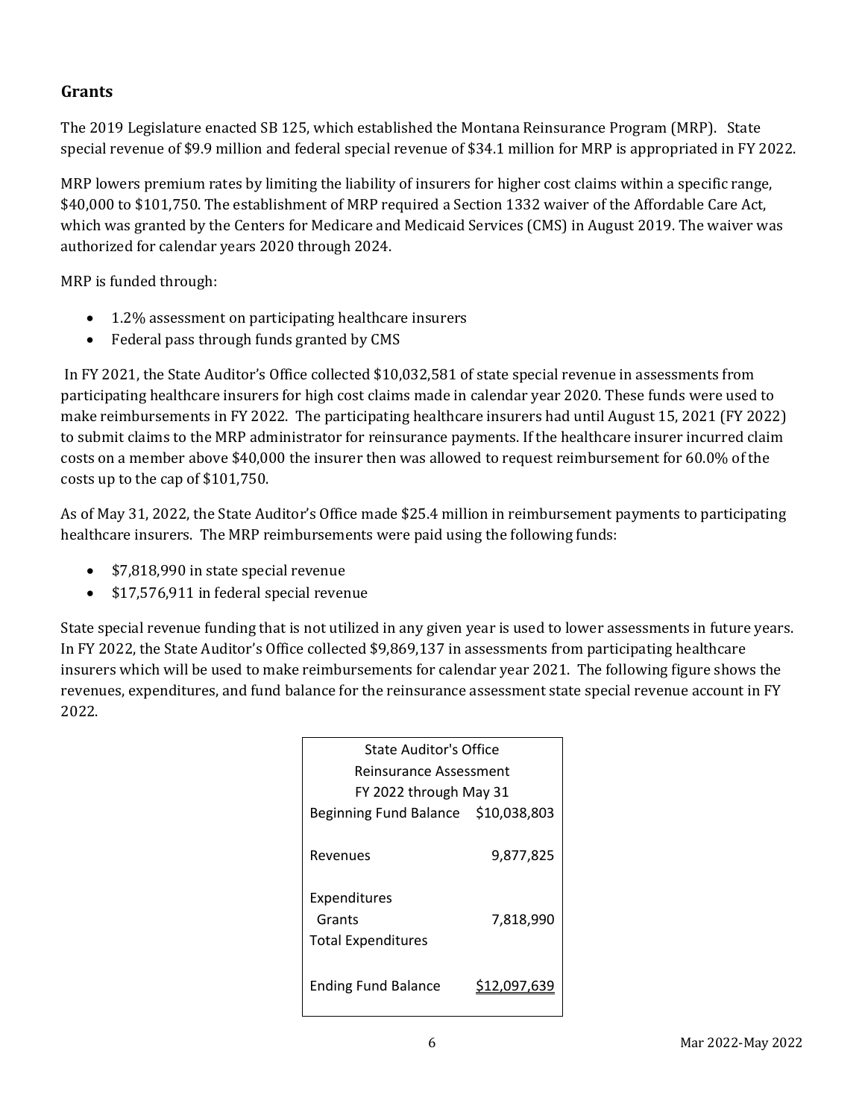#### **Grants**

The 2019 Legislature enacted SB 125, which established the Montana Reinsurance Program (MRP). State special revenue of \$9.9 million and federal special revenue of \$34.1 million for MRP is appropriated in FY 2022.

MRP lowers premium rates by limiting the liability of insurers for higher cost claims within a specific range, \$40,000 to \$101,750. The establishment of MRP required a Section 1332 waiver of the Affordable Care Act, which was granted by the Centers for Medicare and Medicaid Services (CMS) in August 2019. The waiver was authorized for calendar years 2020 through 2024.

MRP is funded through:

- 1.2% assessment on participating healthcare insurers
- Federal pass through funds granted by CMS

In FY 2021, the State Auditor's Office collected \$10,032,581 of state special revenue in assessments from participating healthcare insurers for high cost claims made in calendar year 2020. These funds were used to make reimbursements in FY 2022. The participating healthcare insurers had until August 15, 2021 (FY 2022) to submit claims to the MRP administrator for reinsurance payments. If the healthcare insurer incurred claim costs on a member above \$40,000 the insurer then was allowed to request reimbursement for 60.0% of the costs up to the cap of \$101,750.

As of May 31, 2022, the State Auditor's Office made \$25.4 million in reimbursement payments to participating healthcare insurers. The MRP reimbursements were paid using the following funds:

- \$7,818,990 in state special revenue
- \$17,576,911 in federal special revenue

State special revenue funding that is not utilized in any given year is used to lower assessments in future years. In FY 2022, the State Auditor's Office collected \$9,869,137 in assessments from participating healthcare insurers which will be used to make reimbursements for calendar year 2021. The following figure shows the revenues, expenditures, and fund balance for the reinsurance assessment state special revenue account in FY 2022.

| State Auditor's Office                              |                     |  |  |  |
|-----------------------------------------------------|---------------------|--|--|--|
| Reinsurance Assessment                              |                     |  |  |  |
| FY 2022 through May 31                              |                     |  |  |  |
| Beginning Fund Balance \$10,038,803                 |                     |  |  |  |
| Revenues                                            | 9,877,825           |  |  |  |
| Expenditures<br>Grants<br><b>Total Expenditures</b> | 7,818,990           |  |  |  |
| <b>Ending Fund Balance</b>                          | <u>\$12,097</u> ,63 |  |  |  |